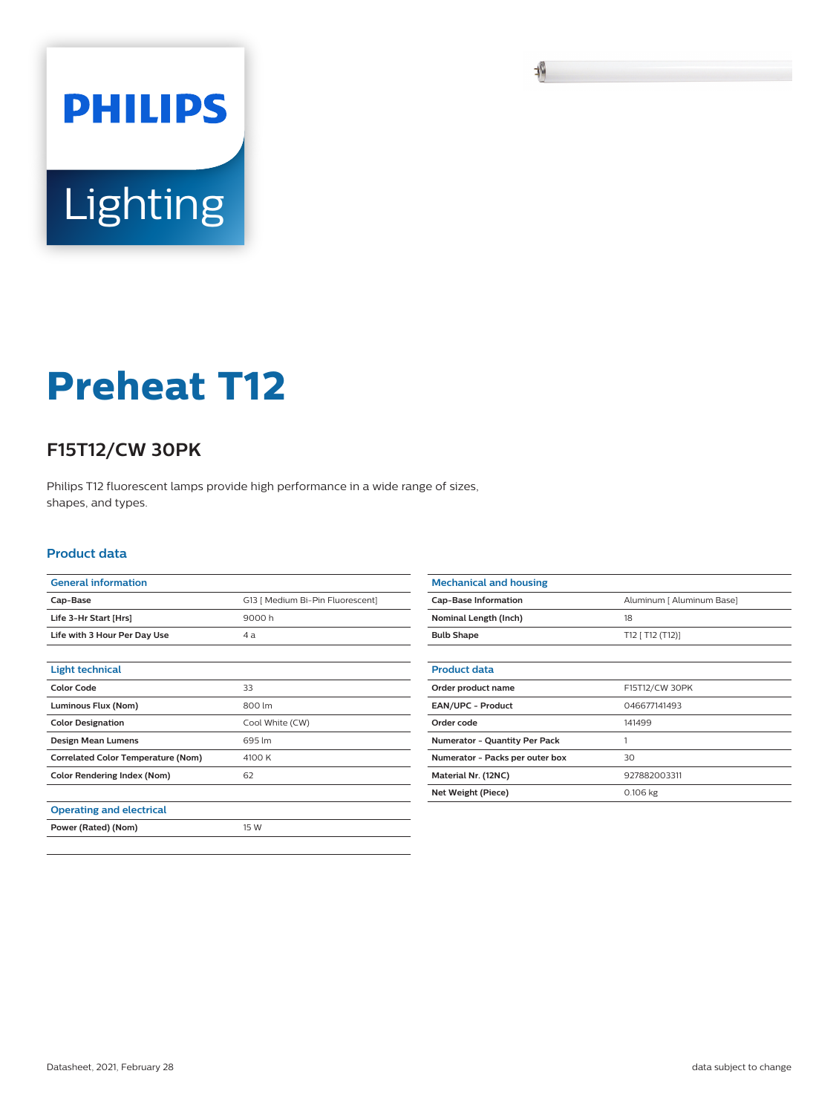

## **Preheat T12**

## **F15T12/CW 30PK**

Philips T12 fluorescent lamps provide high performance in a wide range of sizes, shapes, and types.

## **Product data**

| <b>General information</b>                |                                  |
|-------------------------------------------|----------------------------------|
| Cap-Base                                  | G13   Medium Bi-Pin Fluorescent] |
| Life 3-Hr Start [Hrs]                     | 9000h                            |
| Life with 3 Hour Per Day Use              | 4 а                              |
|                                           |                                  |
| <b>Light technical</b>                    |                                  |
| <b>Color Code</b>                         | 33                               |
| Luminous Flux (Nom)                       | 800 lm                           |
| <b>Color Designation</b>                  | Cool White (CW)                  |
| Design Mean Lumens                        | 695 lm                           |
| <b>Correlated Color Temperature (Nom)</b> | 4100 K                           |
| <b>Color Rendering Index (Nom)</b>        | 62                               |
|                                           |                                  |
| <b>Operating and electrical</b>           |                                  |
| Power (Rated) (Nom)                       | 15 W                             |
|                                           |                                  |

| <b>Mechanical and housing</b>        |                           |
|--------------------------------------|---------------------------|
| <b>Cap-Base Information</b>          | Aluminum [ Aluminum Base] |
| Nominal Length (Inch)                | 18                        |
| <b>Bulb Shape</b>                    | T12 [ T12 (T12)]          |
|                                      |                           |
| <b>Product data</b>                  |                           |
| Order product name                   | F15T12/CW 30PK            |
| <b>EAN/UPC - Product</b>             | 046677141493              |
| Order code                           | 141499                    |
| <b>Numerator - Quantity Per Pack</b> |                           |
| Numerator - Packs per outer box      | 30                        |
| Material Nr. (12NC)                  | 927882003311              |
| Net Weight (Piece)                   | 0.106 kg                  |
|                                      |                           |

耻